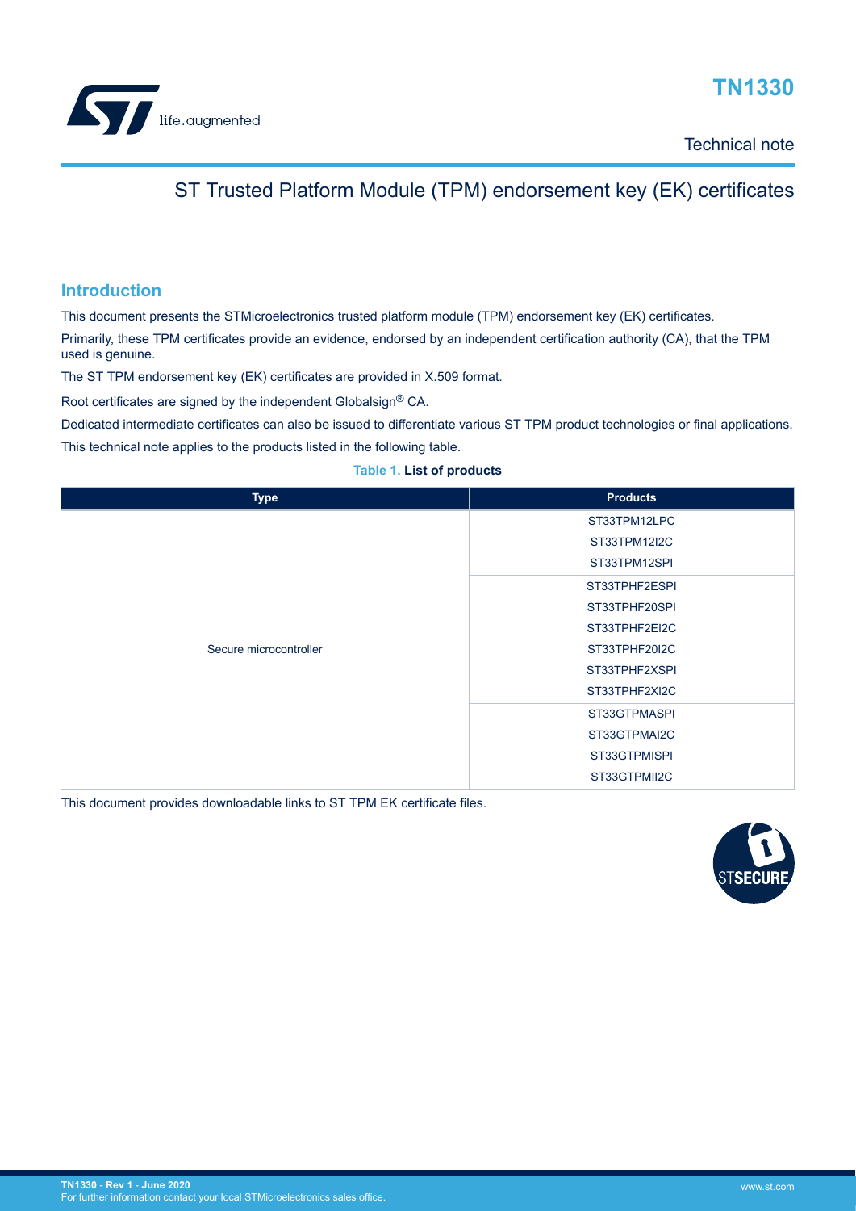<span id="page-0-0"></span>

# **TN1330**

Technical note

### ST Trusted Platform Module (TPM) endorsement key (EK) certificates

### **Introduction**

This document presents the STMicroelectronics trusted platform module (TPM) endorsement key (EK) certificates.

Primarily, these TPM certificates provide an evidence, endorsed by an independent certification authority (CA), that the TPM used is genuine.

The ST TPM endorsement key (EK) certificates are provided in X.509 format.

Root certificates are signed by the independent Globalsign® CA.

Dedicated intermediate certificates can also be issued to differentiate various ST TPM product technologies or final applications.

This technical note applies to the products listed in the following table.

#### **Table 1. List of products**

| <b>Type</b>            | <b>Products</b> |
|------------------------|-----------------|
|                        | ST33TPM12LPC    |
|                        | ST33TPM12I2C    |
|                        | ST33TPM12SPI    |
|                        | ST33TPHF2ESPI   |
|                        | ST33TPHF20SPI   |
|                        | ST33TPHF2EI2C   |
| Secure microcontroller | ST33TPHF20I2C   |
|                        | ST33TPHF2XSPI   |
|                        | ST33TPHF2XI2C   |
|                        | ST33GTPMASPI    |
|                        | ST33GTPMAI2C    |
|                        | ST33GTPMISPI    |
|                        | ST33GTPMII2C    |

This document provides downloadable links to ST TPM EK certificate files.

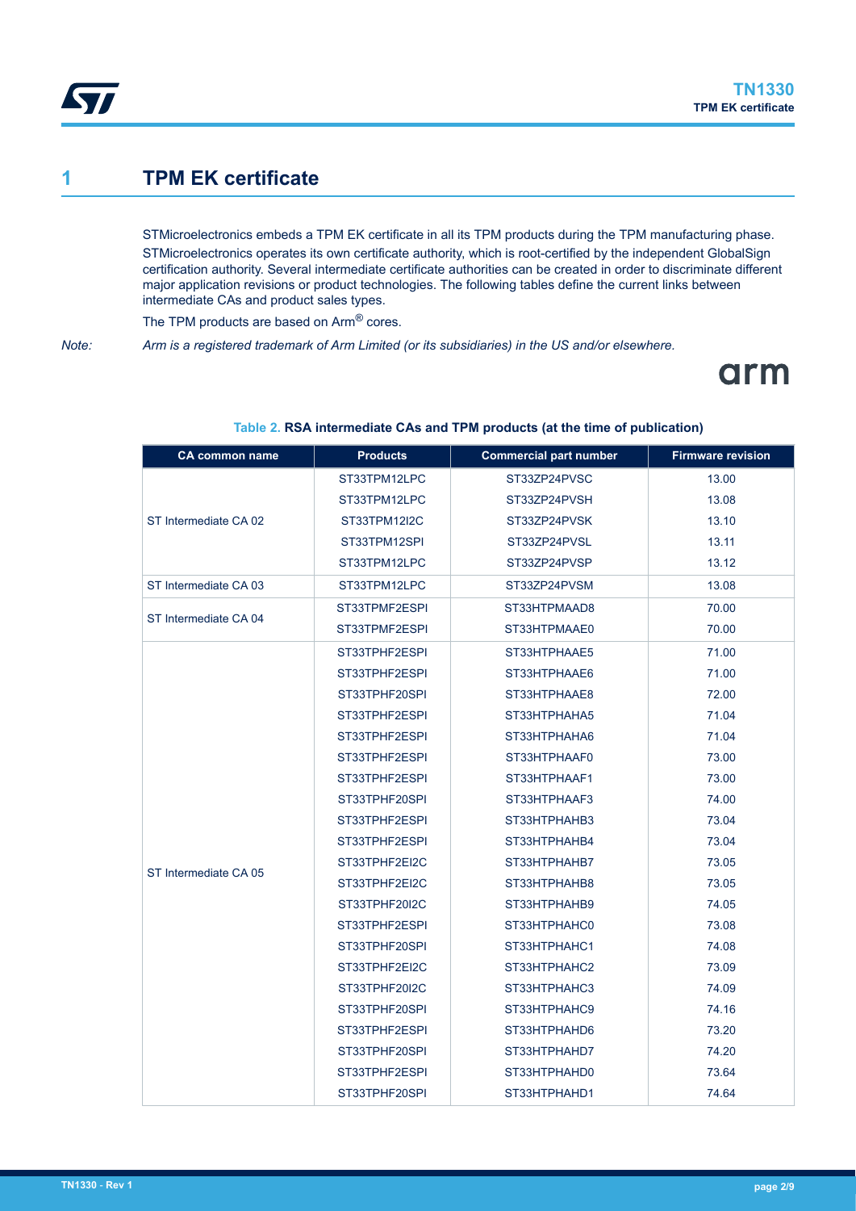<span id="page-1-0"></span>

### **1 TPM EK certificate**

STMicroelectronics embeds a TPM EK certificate in all its TPM products during the TPM manufacturing phase. STMicroelectronics operates its own certificate authority, which is root-certified by the independent GlobalSign certification authority. Several intermediate certificate authorities can be created in order to discriminate different major application revisions or product technologies. The following tables define the current links between intermediate CAs and product sales types.

The TPM products are based on Arm® cores.

*Note: Arm is a registered trademark of Arm Limited (or its subsidiaries) in the US and/or elsewhere.*

# arm

| <b>CA common name</b> | <b>Products</b> | <b>Commercial part number</b> | <b>Firmware revision</b> |
|-----------------------|-----------------|-------------------------------|--------------------------|
|                       | ST33TPM12LPC    | ST33ZP24PVSC                  | 13.00                    |
| ST Intermediate CA 02 | ST33TPM12LPC    | ST33ZP24PVSH                  | 13.08                    |
|                       | ST33TPM12I2C    | ST33ZP24PVSK                  | 13.10                    |
|                       | ST33TPM12SPI    | ST33ZP24PVSL                  | 13.11                    |
|                       | ST33TPM12LPC    | ST33ZP24PVSP                  | 13.12                    |
| ST Intermediate CA 03 | ST33TPM12LPC    | ST33ZP24PVSM                  | 13.08                    |
|                       | ST33TPMF2ESPI   | ST33HTPMAAD8                  | 70.00                    |
| ST Intermediate CA 04 | ST33TPMF2ESPI   | ST33HTPMAAE0                  | 70.00                    |
|                       | ST33TPHF2ESPI   | ST33HTPHAAE5                  | 71.00                    |
|                       | ST33TPHF2ESPI   | ST33HTPHAAE6                  | 71.00                    |
|                       | ST33TPHF20SPI   | ST33HTPHAAE8                  | 72.00                    |
|                       | ST33TPHF2ESPI   | ST33HTPHAHA5                  | 71.04                    |
|                       | ST33TPHF2ESPI   | ST33HTPHAHA6                  | 71.04                    |
|                       | ST33TPHF2ESPI   | ST33HTPHAAF0                  | 73.00                    |
|                       | ST33TPHF2ESPI   | ST33HTPHAAF1                  | 73.00                    |
|                       | ST33TPHF20SPI   | ST33HTPHAAF3                  | 74.00                    |
|                       | ST33TPHF2ESPI   | ST33HTPHAHB3                  | 73.04                    |
|                       | ST33TPHF2ESPI   | ST33HTPHAHB4                  | 73.04                    |
| ST Intermediate CA 05 | ST33TPHF2EI2C   | ST33HTPHAHB7                  | 73.05                    |
|                       | ST33TPHF2EI2C   | ST33HTPHAHB8                  | 73.05                    |
|                       | ST33TPHF20I2C   | ST33HTPHAHB9                  | 74.05                    |
|                       | ST33TPHF2ESPI   | ST33HTPHAHC0                  | 73.08                    |
|                       | ST33TPHF20SPI   | ST33HTPHAHC1                  | 74.08                    |
|                       | ST33TPHF2EI2C   | ST33HTPHAHC2                  | 73.09                    |
|                       | ST33TPHF20I2C   | ST33HTPHAHC3                  | 74.09                    |
|                       | ST33TPHF20SPI   | ST33HTPHAHC9                  | 74.16                    |
|                       | ST33TPHF2ESPI   | ST33HTPHAHD6                  | 73.20                    |
|                       | ST33TPHF20SPI   | ST33HTPHAHD7                  | 74.20                    |
|                       | ST33TPHF2ESPI   | ST33HTPHAHD0                  | 73.64                    |
|                       | ST33TPHF20SPI   | ST33HTPHAHD1                  | 74.64                    |

#### **Table 2. RSA intermediate CAs and TPM products (at the time of publication)**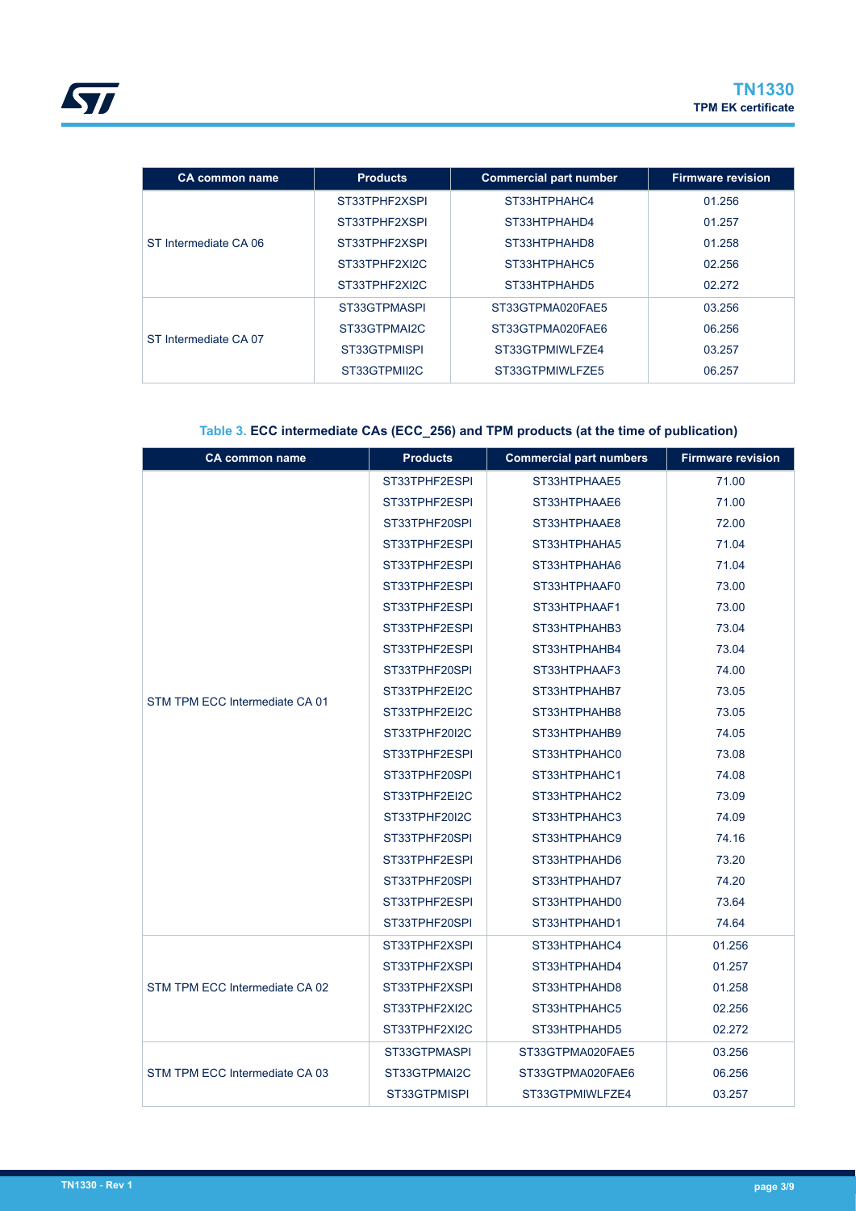<span id="page-2-0"></span>

| <b>CA common name</b> | <b>Products</b> | <b>Commercial part number</b> | <b>Firmware revision</b> |
|-----------------------|-----------------|-------------------------------|--------------------------|
| ST Intermediate CA 06 | ST33TPHF2XSPI   | ST33HTPHAHC4                  | 01.256                   |
|                       | ST33TPHF2XSPI   | ST33HTPHAHD4                  | 01.257                   |
|                       | ST33TPHF2XSPI   | ST33HTPHAHD8                  | 01.258                   |
|                       | ST33TPHF2XI2C   | ST33HTPHAHC5                  | 02.256                   |
|                       | ST33TPHF2XI2C   | ST33HTPHAHD5                  | 02.272                   |
| ST Intermediate CA 07 | ST33GTPMASPI    | ST33GTPMA020FAE5              | 03.256                   |
|                       | ST33GTPMAI2C    | ST33GTPMA020FAE6              | 06.256                   |
|                       | ST33GTPMISPI    | ST33GTPMIWLFZE4               | 03.257                   |
|                       | ST33GTPMII2C    | ST33GTPMIWLFZE5               | 06.257                   |

### **Table 3. ECC intermediate CAs (ECC\_256) and TPM products (at the time of publication)**

| <b>CA common name</b>          | <b>Products</b> | <b>Commercial part numbers</b> | <b>Firmware revision</b> |
|--------------------------------|-----------------|--------------------------------|--------------------------|
|                                | ST33TPHF2ESPI   | ST33HTPHAAE5                   | 71.00                    |
|                                | ST33TPHF2ESPI   | ST33HTPHAAE6                   | 71.00                    |
|                                | ST33TPHF20SPI   | ST33HTPHAAE8                   | 72.00                    |
|                                | ST33TPHF2ESPI   | ST33HTPHAHA5                   | 71.04                    |
|                                | ST33TPHF2ESPI   | ST33HTPHAHA6                   | 71.04                    |
|                                | ST33TPHF2ESPI   | ST33HTPHAAF0                   | 73.00                    |
|                                | ST33TPHF2ESPI   | ST33HTPHAAF1                   | 73.00                    |
|                                | ST33TPHF2ESPI   | ST33HTPHAHB3                   | 73.04                    |
|                                | ST33TPHF2ESPI   | ST33HTPHAHB4                   | 73.04                    |
| STM TPM ECC Intermediate CA 01 | ST33TPHF20SPI   | ST33HTPHAAF3                   | 74.00                    |
|                                | ST33TPHF2EI2C   | ST33HTPHAHB7                   | 73.05                    |
|                                | ST33TPHF2EI2C   | ST33HTPHAHB8                   | 73.05                    |
|                                | ST33TPHF20I2C   | ST33HTPHAHB9                   | 74.05                    |
|                                | ST33TPHF2ESPI   | ST33HTPHAHC0                   | 73.08                    |
|                                | ST33TPHF20SPI   | ST33HTPHAHC1                   | 74.08                    |
|                                | ST33TPHF2EI2C   | ST33HTPHAHC2                   | 73.09                    |
|                                | ST33TPHF20I2C   | ST33HTPHAHC3                   | 74.09                    |
|                                | ST33TPHF20SPI   | ST33HTPHAHC9                   | 74.16                    |
|                                | ST33TPHF2ESPI   | ST33HTPHAHD6                   | 73.20                    |
|                                | ST33TPHF20SPI   | ST33HTPHAHD7                   | 74.20                    |
|                                | ST33TPHF2ESPI   | ST33HTPHAHD0                   | 73.64                    |
|                                | ST33TPHF20SPI   | ST33HTPHAHD1                   | 74.64                    |
|                                | ST33TPHF2XSPI   | ST33HTPHAHC4                   | 01.256                   |
|                                | ST33TPHF2XSPI   | ST33HTPHAHD4                   | 01.257                   |
| STM TPM ECC Intermediate CA 02 | ST33TPHF2XSPI   | ST33HTPHAHD8                   | 01.258                   |
|                                | ST33TPHF2XI2C   | ST33HTPHAHC5                   | 02.256                   |
|                                | ST33TPHF2XI2C   | ST33HTPHAHD5                   | 02.272                   |
|                                | ST33GTPMASPI    | ST33GTPMA020FAE5               | 03.256                   |
| STM TPM ECC Intermediate CA 03 | ST33GTPMAI2C    | ST33GTPMA020FAE6               | 06.256                   |
|                                | ST33GTPMISPI    | ST33GTPMIWLFZE4                | 03.257                   |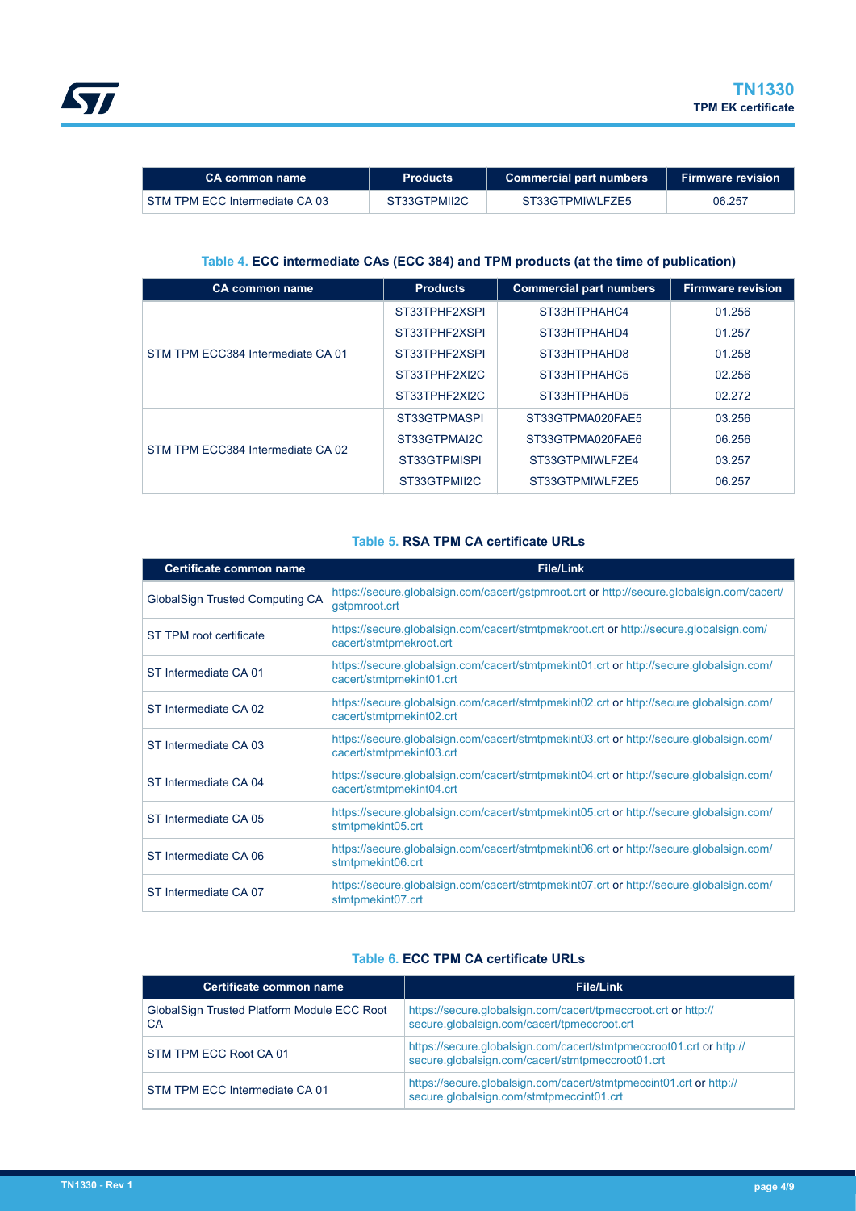<span id="page-3-0"></span>

| 'CA common name                | <b>Products</b> | <b>Commercial part numbers</b> | <b>Firmware revision</b> |
|--------------------------------|-----------------|--------------------------------|--------------------------|
| STM TPM ECC Intermediate CA 03 | ST33GTPMII2C    | ST33GTPMIWLFZE5                | 06.257                   |

#### **Table 4. ECC intermediate CAs (ECC 384) and TPM products (at the time of publication)**

| <b>CA common name</b>             | <b>Products</b> | <b>Commercial part numbers</b> | <b>Firmware revision</b> |
|-----------------------------------|-----------------|--------------------------------|--------------------------|
| STM TPM ECC384 Intermediate CA 01 | ST33TPHF2XSPI   | ST33HTPHAHC4                   | 01.256                   |
|                                   | ST33TPHF2XSPI   | ST33HTPHAHD4                   | 01.257                   |
|                                   | ST33TPHF2XSPI   | ST33HTPHAHD8                   | 01.258                   |
|                                   | ST33TPHF2XI2C   | ST33HTPHAHC5                   | 02.256                   |
|                                   | ST33TPHF2XI2C   | ST33HTPHAHD5                   | 02.272                   |
| STM TPM ECC384 Intermediate CA 02 | ST33GTPMASPI    | ST33GTPMA020FAE5               | 03.256                   |
|                                   | ST33GTPMAI2C    | ST33GTPMA020FAE6               | 06.256                   |
|                                   | ST33GTPMISPI    | ST33GTPMIWLFZE4                | 03.257                   |
|                                   | ST33GTPMII2C    | ST33GTPMIWLFZE5                | 06.257                   |

#### **Table 5. RSA TPM CA certificate URLs**

| <b>Certificate common name</b>  | <b>File/Link</b>                                                                                                    |
|---------------------------------|---------------------------------------------------------------------------------------------------------------------|
| GlobalSign Trusted Computing CA | https://secure.globalsign.com/cacert/gstpmroot.crt or http://secure.globalsign.com/cacert/<br>gstpmroot.crt         |
| ST TPM root certificate         | https://secure.globalsign.com/cacert/stmtpmekroot.crt or http://secure.globalsign.com/<br>cacert/stmtpmekroot.crt   |
| ST Intermediate CA 01           | https://secure.globalsign.com/cacert/stmtpmekint01.crt or http://secure.globalsign.com/<br>cacert/stmtpmekint01.crt |
| ST Intermediate CA 02           | https://secure.globalsign.com/cacert/stmtpmekint02.crt or http://secure.globalsign.com/<br>cacert/stmtpmekint02.crt |
| ST Intermediate CA 03           | https://secure.globalsign.com/cacert/stmtpmekint03.crt or http://secure.globalsign.com/<br>cacert/stmtpmekint03.crt |
| ST Intermediate CA 04           | https://secure.globalsign.com/cacert/stmtpmekint04.crt or http://secure.globalsign.com/<br>cacert/stmtpmekint04.crt |
| ST Intermediate CA 05           | https://secure.globalsign.com/cacert/stmtpmekint05.crt or http://secure.globalsign.com/<br>stmtpmekint05.crt        |
| ST Intermediate CA 06           | https://secure.globalsign.com/cacert/stmtpmekint06.crt or http://secure.globalsign.com/<br>stmtpmekint06.crt        |
| ST Intermediate CA 07           | https://secure.globalsign.com/cacert/stmtpmekint07.crt or http://secure.globalsign.com/<br>stmtpmekint07.crt        |

#### **Table 6. ECC TPM CA certificate URLs**

| Certificate common name                           | <b>File/Link</b>                                                                                                        |
|---------------------------------------------------|-------------------------------------------------------------------------------------------------------------------------|
| GlobalSign Trusted Platform Module ECC Root<br>СA | https://secure.globalsign.com/cacert/tpmeccroot.crt or http://<br>secure.globalsign.com/cacert/tpmeccroot.crt           |
| STM TPM ECC Root CA 01                            | https://secure.globalsign.com/cacert/stmtpmeccroot01.crt or http://<br>secure.globalsign.com/cacert/stmtpmeccroot01.crt |
| STM TPM ECC Intermediate CA 01                    | https://secure.globalsign.com/cacert/stmtpmeccint01.crt or http://<br>secure.globalsign.com/stmtpmeccint01.crt          |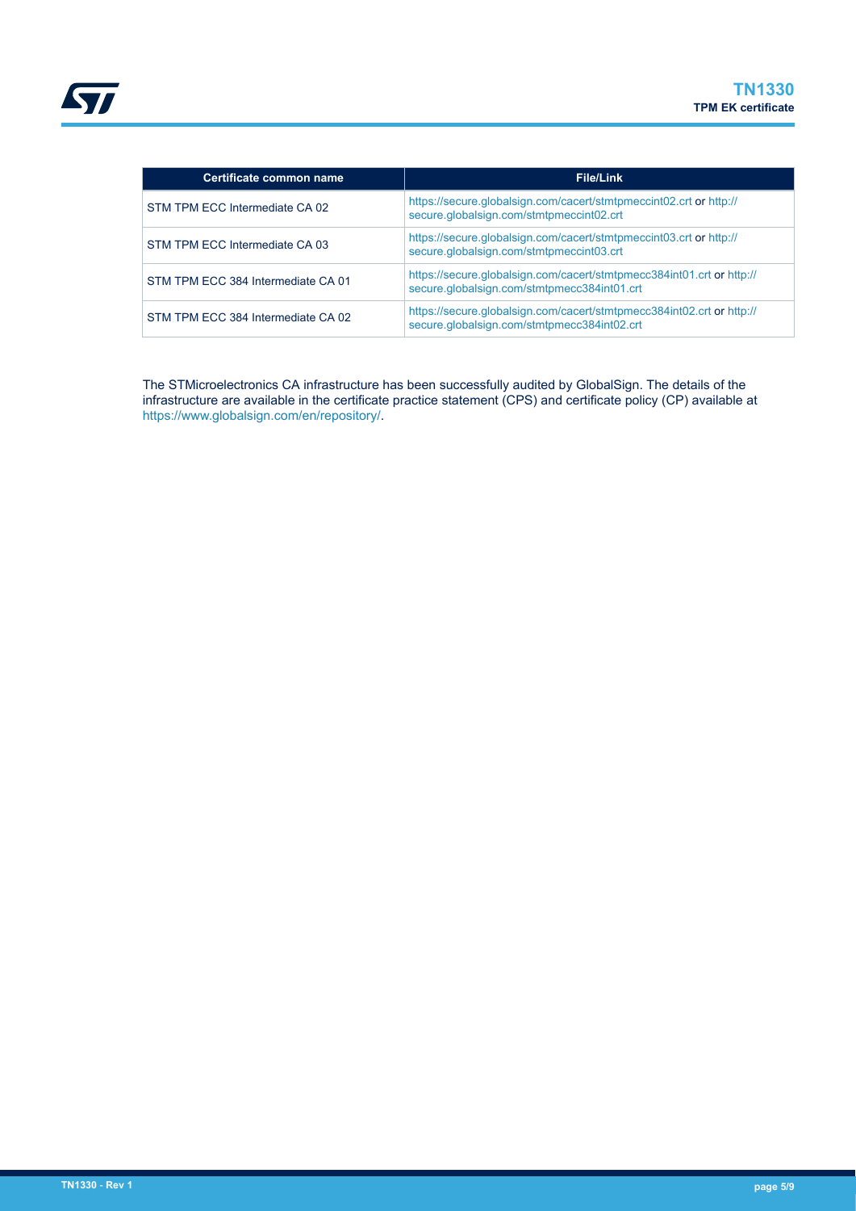| Certificate common name            | <b>File/Link</b>                                                                                                     |
|------------------------------------|----------------------------------------------------------------------------------------------------------------------|
| STM TPM ECC Intermediate CA 02     | https://secure.globalsign.com/cacert/stmtpmeccint02.crt or http://<br>secure.globalsign.com/stmtpmeccint02.crt       |
| STM TPM ECC Intermediate CA 03     | https://secure.globalsign.com/cacert/stmtpmeccint03.crt or http://<br>secure.globalsign.com/stmtpmeccint03.crt       |
| STM TPM ECC 384 Intermediate CA 01 | https://secure.globalsign.com/cacert/stmtpmecc384int01.crt or http://<br>secure.globalsign.com/stmtpmecc384int01.crt |
| STM TPM ECC 384 Intermediate CA 02 | https://secure.globalsign.com/cacert/stmtpmecc384int02.crt or http://<br>secure.globalsign.com/stmtpmecc384int02.crt |

The STMicroelectronics CA infrastructure has been successfully audited by GlobalSign. The details of the infrastructure are available in the certificate practice statement (CPS) and certificate policy (CP) available at [https://www.globalsign.com/en/repository/.](https://www.globalsign.com/en/repository/)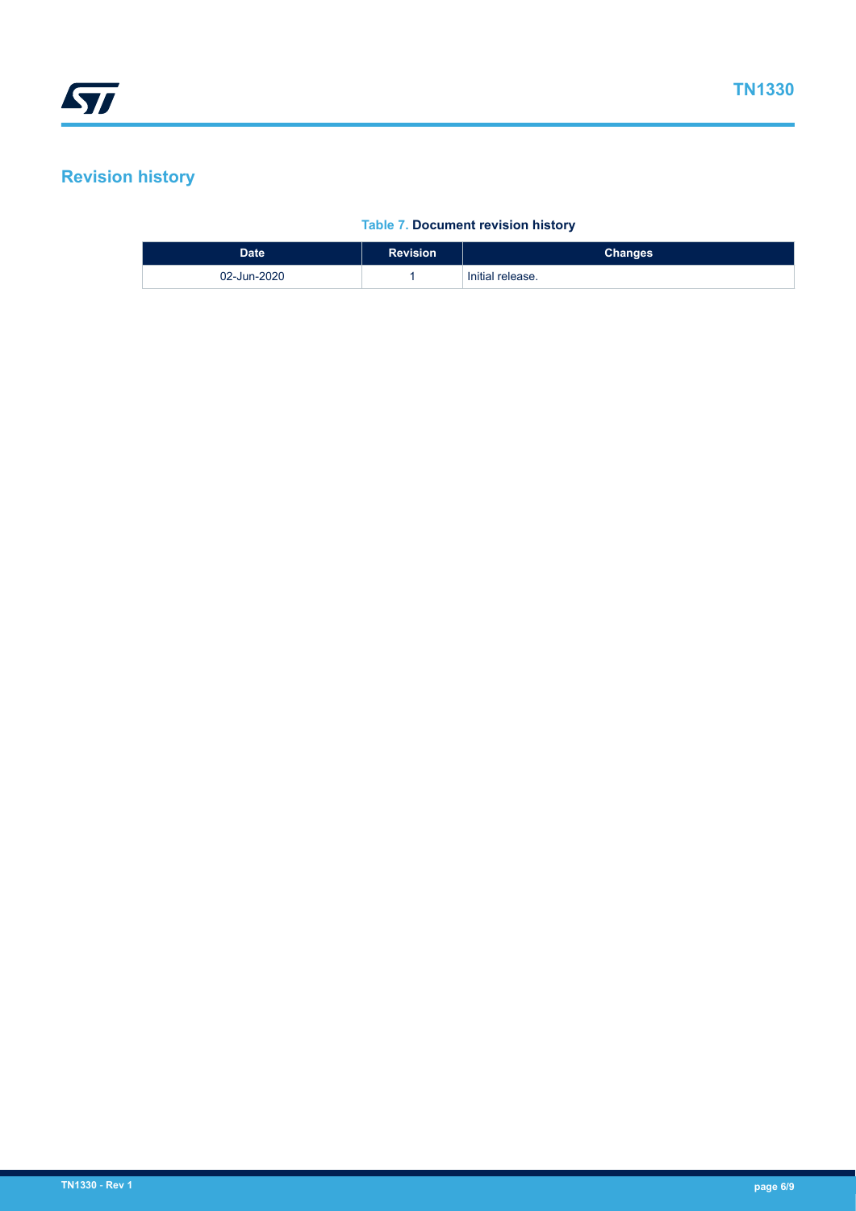### <span id="page-5-0"></span>**Revision history**

#### **Table 7. Document revision history**

| <b>Date</b> | <b>Revision</b> | <b>Changes</b>   |
|-------------|-----------------|------------------|
| 02-Jun-2020 |                 | Initial release. |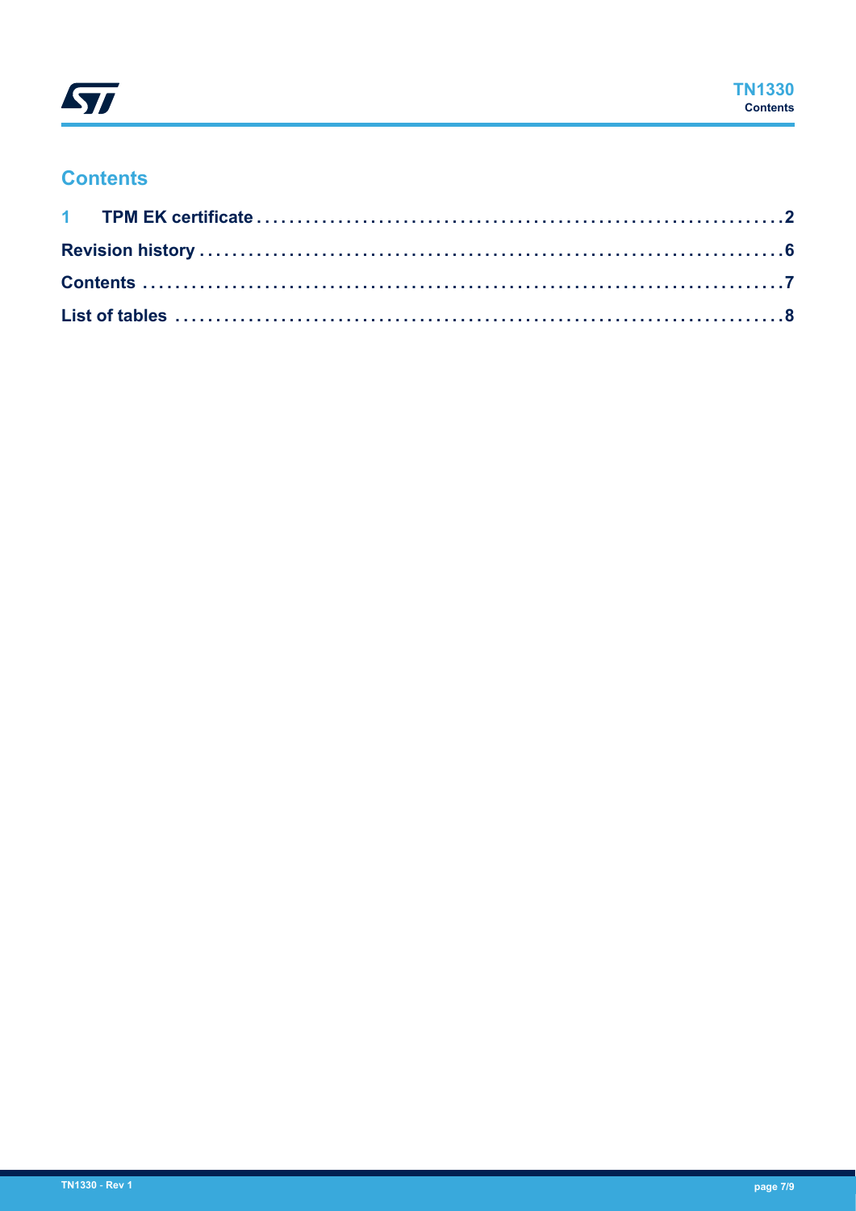

### **Contents**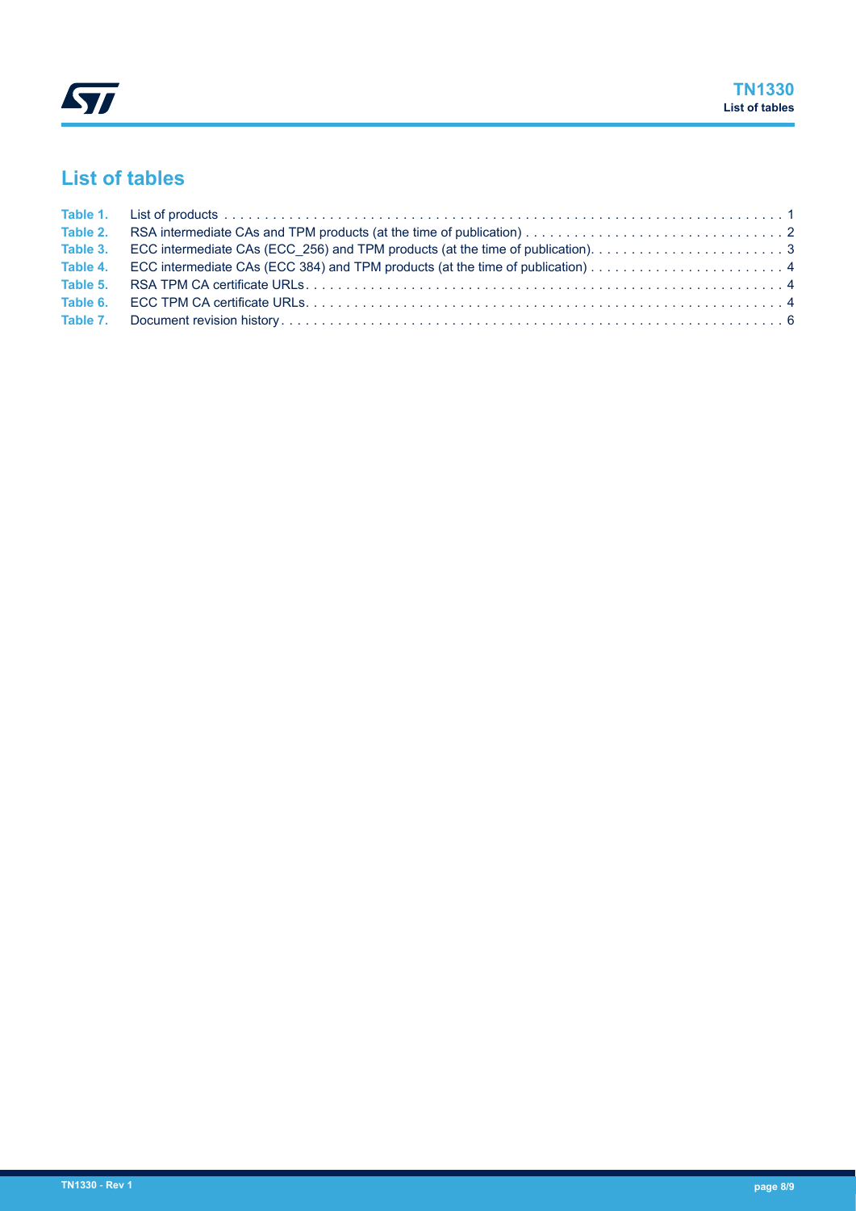## <span id="page-7-0"></span>**List of tables**